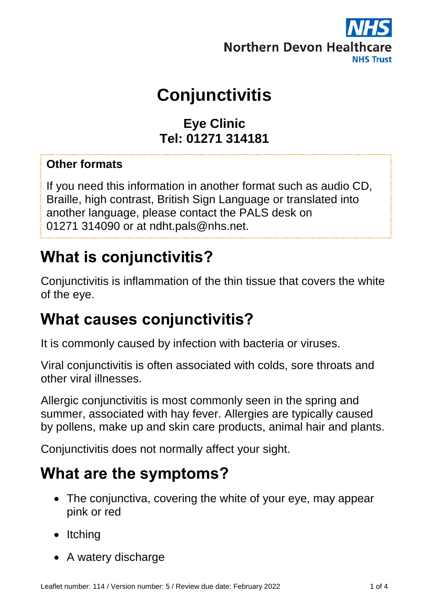

# **Conjunctivitis**

#### **Eye Clinic Tel: 01271 314181**

#### **Other formats**

If you need this information in another format such as audio CD, Braille, high contrast, British Sign Language or translated into another language, please contact the PALS desk on 01271 314090 or at ndht.pals@nhs.net.

### **What is conjunctivitis?**

Conjunctivitis is inflammation of the thin tissue that covers the white of the eye.

## **What causes conjunctivitis?**

It is commonly caused by infection with bacteria or viruses.

Viral conjunctivitis is often associated with colds, sore throats and other viral illnesses.

Allergic conjunctivitis is most commonly seen in the spring and summer, associated with hay fever. Allergies are typically caused by pollens, make up and skin care products, animal hair and plants.

Conjunctivitis does not normally affect your sight.

### **What are the symptoms?**

- The conjunctiva, covering the white of your eye, may appear pink or red
- Itching
- A watery discharge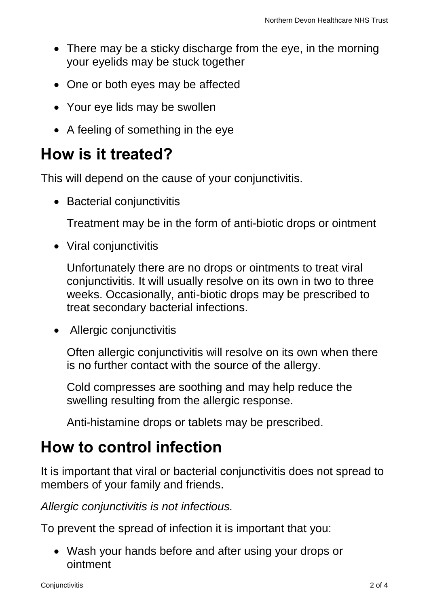- There may be a sticky discharge from the eye, in the morning your eyelids may be stuck together
- One or both eyes may be affected
- Your eye lids may be swollen
- A feeling of something in the eve

#### **How is it treated?**

This will depend on the cause of your conjunctivitis.

• Bacterial conjunctivitis

Treatment may be in the form of anti-biotic drops or ointment

Viral conjunctivitis

Unfortunately there are no drops or ointments to treat viral conjunctivitis. It will usually resolve on its own in two to three weeks. Occasionally, anti-biotic drops may be prescribed to treat secondary bacterial infections.

• Allergic conjunctivitis

Often allergic conjunctivitis will resolve on its own when there is no further contact with the source of the allergy.

Cold compresses are soothing and may help reduce the swelling resulting from the allergic response.

Anti-histamine drops or tablets may be prescribed.

#### **How to control infection**

It is important that viral or bacterial conjunctivitis does not spread to members of your family and friends.

*Allergic conjunctivitis is not infectious.*

To prevent the spread of infection it is important that you:

 Wash your hands before and after using your drops or ointment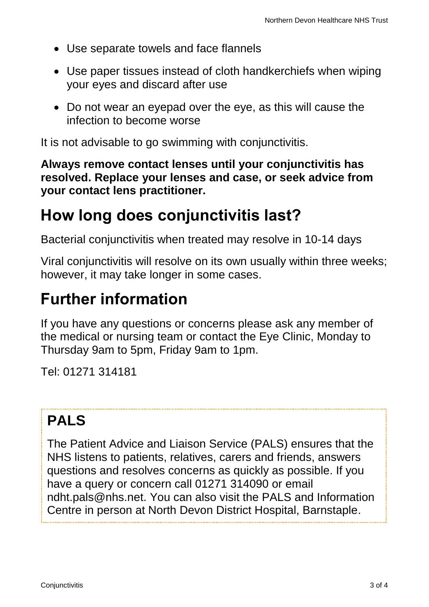- Use separate towels and face flannels
- Use paper tissues instead of cloth handkerchiefs when wiping your eyes and discard after use
- Do not wear an eyepad over the eye, as this will cause the infection to become worse

It is not advisable to go swimming with conjunctivitis.

**Always remove contact lenses until your conjunctivitis has resolved. Replace your lenses and case, or seek advice from your contact lens practitioner.**

## **How long does conjunctivitis last?**

Bacterial conjunctivitis when treated may resolve in 10-14 days

Viral conjunctivitis will resolve on its own usually within three weeks; however, it may take longer in some cases.

## **Further information**

If you have any questions or concerns please ask any member of the medical or nursing team or contact the Eye Clinic, Monday to Thursday 9am to 5pm, Friday 9am to 1pm.

Tel: 01271 314181

## **PALS**

The Patient Advice and Liaison Service (PALS) ensures that the NHS listens to patients, relatives, carers and friends, answers questions and resolves concerns as quickly as possible. If you have a query or concern call 01271 314090 or email ndht.pals@nhs.net. You can also visit the PALS and Information Centre in person at North Devon District Hospital, Barnstaple.